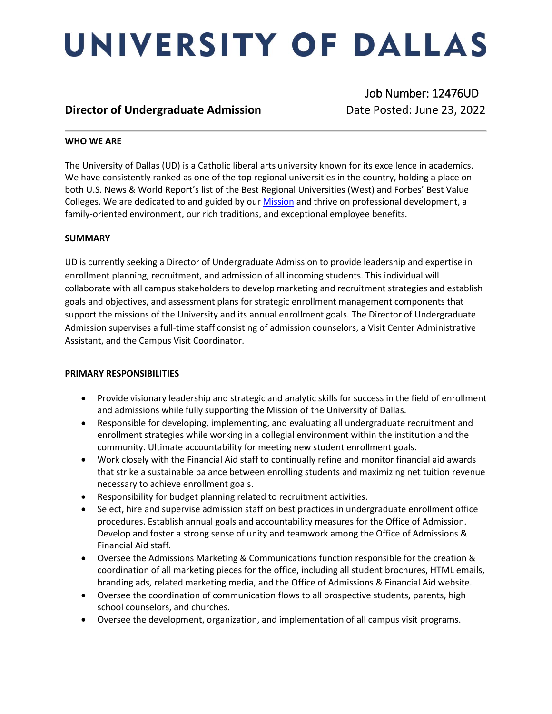# UNIVERSITY OF DALLAS

### **Director of Undergraduate Admission Date Posted: June 23, 2022**

Job Number: 12476UD

### **WHO WE ARE**

The University of Dallas (UD) is a Catholic liberal arts university known for its excellence in academics. We have consistently ranked as one of the top regional universities in the country, holding a place on both U.S. News & World Report's list of the Best Regional Universities (West) and Forbes' Best Value Colleges. We are dedicated to and guided by ou[r Mission](https://www.udallas.edu/about/mission.php) and thrive on professional development, a family-oriented environment, our rich traditions, and exceptional employee benefits.

### **SUMMARY**

UD is currently seeking a Director of Undergraduate Admission to provide leadership and expertise in enrollment planning, recruitment, and admission of all incoming students. This individual will collaborate with all campus stakeholders to develop marketing and recruitment strategies and establish goals and objectives, and assessment plans for strategic enrollment management components that support the missions of the University and its annual enrollment goals. The Director of Undergraduate Admission supervises a full-time staff consisting of admission counselors, a Visit Center Administrative Assistant, and the Campus Visit Coordinator.

### **PRIMARY RESPONSIBILITIES**

- Provide visionary leadership and strategic and analytic skills for success in the field of enrollment and admissions while fully supporting the Mission of the University of Dallas.
- Responsible for developing, implementing, and evaluating all undergraduate recruitment and enrollment strategies while working in a collegial environment within the institution and the community. Ultimate accountability for meeting new student enrollment goals.
- Work closely with the Financial Aid staff to continually refine and monitor financial aid awards that strike a sustainable balance between enrolling students and maximizing net tuition revenue necessary to achieve enrollment goals.
- Responsibility for budget planning related to recruitment activities.
- Select, hire and supervise admission staff on best practices in undergraduate enrollment office procedures. Establish annual goals and accountability measures for the Office of Admission. Develop and foster a strong sense of unity and teamwork among the Office of Admissions & Financial Aid staff.
- Oversee the Admissions Marketing & Communications function responsible for the creation & coordination of all marketing pieces for the office, including all student brochures, HTML emails, branding ads, related marketing media, and the Office of Admissions & Financial Aid website.
- Oversee the coordination of communication flows to all prospective students, parents, high school counselors, and churches.
- Oversee the development, organization, and implementation of all campus visit programs.